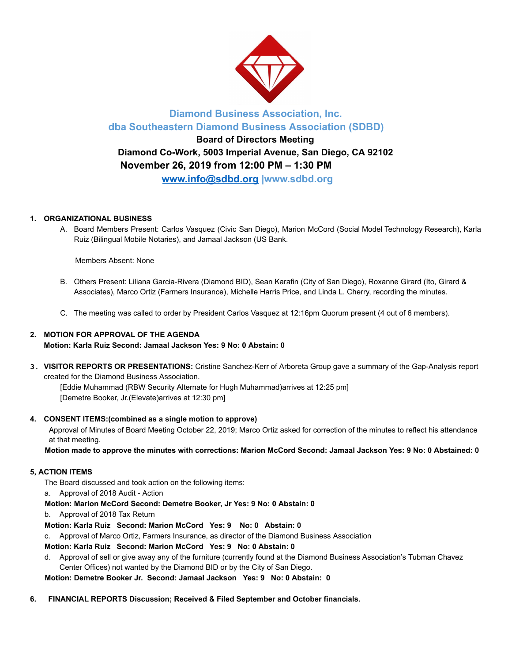

## **Diamond Business Association, Inc. dba Southeastern Diamond Business Association (SDBD)**

# **Board of Directors Meeting Diamond Co-Work, 5003 Imperial Avenue, San Diego, CA 92102 November 26, 2019 from 12:00 PM – 1:30 PM**

**www.info@sdbd.org |www.sdbd.org** 

## **1. ORGANIZATIONAL BUSINESS**

A. Board Members Present: Carlos Vasquez (Civic San Diego), Marion McCord (Social Model Technology Research), Karla Ruiz (Bilingual Mobile Notaries), and Jamaal Jackson (US Bank.

Members Absent: None

- B. Others Present: Liliana Garcia-Rivera (Diamond BID), Sean Karafin (City of San Diego), Roxanne Girard (Ito, Girard & Associates), Marco Ortiz (Farmers Insurance), Michelle Harris Price, and Linda L. Cherry, recording the minutes.
- C. The meeting was called to order by President Carlos Vasquez at 12:16pm Quorum present (4 out of 6 members).

## **2. MOTION FOR APPROVAL OF THE AGENDA**

**Motion: Karla Ruiz Second: Jamaal Jackson Yes: 9 No: 0 Abstain: 0** 

**3. VISITOR REPORTS OR PRESENTATIONS:** Cristine Sanchez-Kerr of Arboreta Group gave a summary of the Gap-Analysis report created for the Diamond Business Association.

[Eddie Muhammad (RBW Security Alternate for Hugh Muhammad)arrives at 12:25 pm] [Demetre Booker, Jr.(Elevate)arrives at 12:30 pm]

### **4. CONSENT ITEMS:(combined as a single motion to approve)**

Approval of Minutes of Board Meeting October 22, 2019; Marco Ortiz asked for correction of the minutes to reflect his attendance at that meeting.

**Motion made to approve the minutes with corrections: Marion McCord Second: Jamaal Jackson Yes: 9 No: 0 Abstained: 0** 

### **5, ACTION ITEMS**

The Board discussed and took action on the following items:

a. Approval of 2018 Audit - Action

 **Motion: Marion McCord Second: Demetre Booker, Jr Yes: 9 No: 0 Abstain: 0** 

b. Approval of 2018 Tax Return

**Motion: Karla Ruiz Second: Marion McCord Yes: 9 No: 0 Abstain: 0** 

c. Approval of Marco Ortiz, Farmers Insurance, as director of the Diamond Business Association

**Motion: Karla Ruiz Second: Marion McCord Yes: 9 No: 0 Abstain: 0** 

d. Approval of sell or give away any of the furniture (currently found at the Diamond Business Association's Tubman Chavez Center Offices) not wanted by the Diamond BID or by the City of San Diego.

 **Motion: Demetre Booker Jr. Second: Jamaal Jackson Yes: 9 No: 0 Abstain: 0** 

**6. FINANCIAL REPORTS Discussion; Received & Filed September and October financials.**